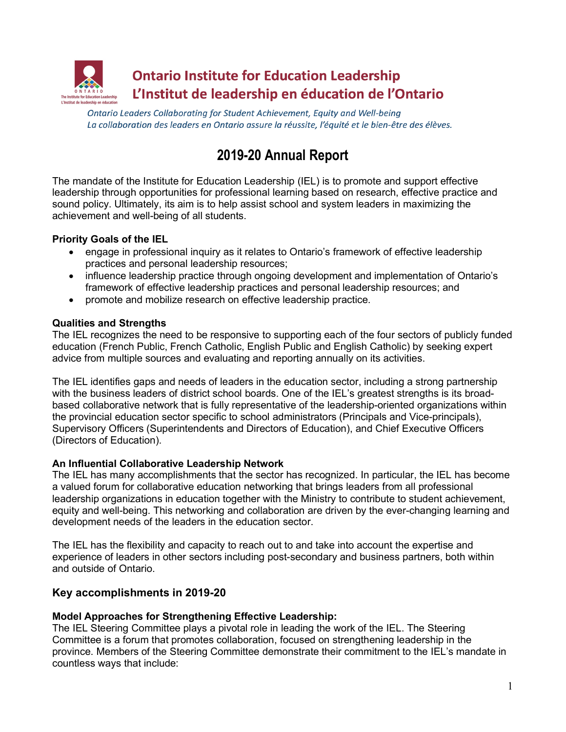

Ontario Leaders Collaborating for Student Achievement, Equity and Well-being La collaboration des leaders en Ontario assure la réussite, l'équité et le bien-être des élèves.

# **2019-20 Annual Report**

The mandate of the Institute for Education Leadership (IEL) is to promote and support effective leadership through opportunities for professional learning based on research, effective practice and sound policy. Ultimately, its aim is to help assist school and system leaders in maximizing the achievement and well-being of all students.

# **Priority Goals of the IEL**

- engage in professional inquiry as it relates to Ontario's framework of effective leadership practices and personal leadership resources;
- influence leadership practice through ongoing development and implementation of Ontario's framework of effective leadership practices and personal leadership resources; and
- promote and mobilize research on effective leadership practice.

# **Qualities and Strengths**

The IEL recognizes the need to be responsive to supporting each of the four sectors of publicly funded education (French Public, French Catholic, English Public and English Catholic) by seeking expert advice from multiple sources and evaluating and reporting annually on its activities.

The IEL identifies gaps and needs of leaders in the education sector, including a strong partnership with the business leaders of district school boards. One of the IEL's greatest strengths is its broadbased collaborative network that is fully representative of the leadership-oriented organizations within the provincial education sector specific to school administrators (Principals and Vice-principals), Supervisory Officers (Superintendents and Directors of Education), and Chief Executive Officers (Directors of Education).

#### **An Influential Collaborative Leadership Network**

The IEL has many accomplishments that the sector has recognized. In particular, the IEL has become a valued forum for collaborative education networking that brings leaders from all professional leadership organizations in education together with the Ministry to contribute to student achievement, equity and well-being. This networking and collaboration are driven by the ever-changing learning and development needs of the leaders in the education sector.

The IEL has the flexibility and capacity to reach out to and take into account the expertise and experience of leaders in other sectors including post-secondary and business partners, both within and outside of Ontario.

# **Key accomplishments in 2019-20**

#### **Model Approaches for Strengthening Effective Leadership:**

The IEL Steering Committee plays a pivotal role in leading the work of the IEL. The Steering Committee is a forum that promotes collaboration, focused on strengthening leadership in the province. Members of the Steering Committee demonstrate their commitment to the IEL's mandate in countless ways that include: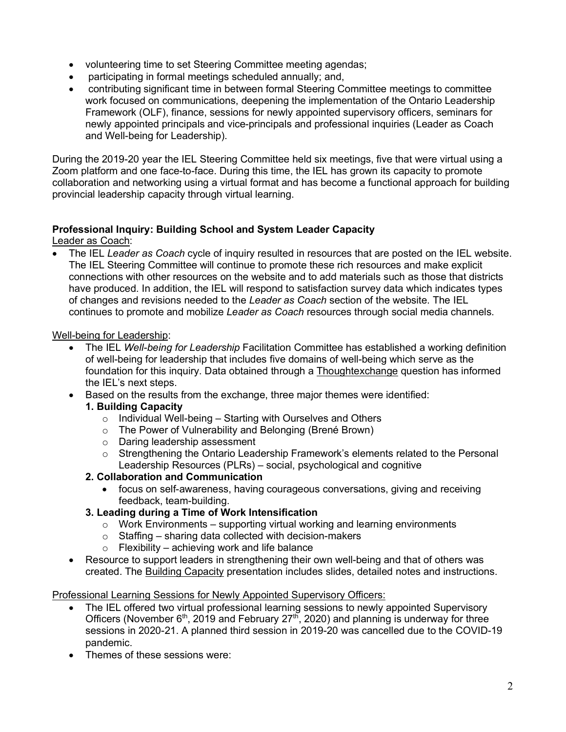- volunteering time to set Steering Committee meeting agendas;
- participating in formal meetings scheduled annually; and,
- contributing significant time in between formal Steering Committee meetings to committee work focused on communications, deepening the implementation of the Ontario Leadership Framework (OLF), finance, sessions for newly appointed supervisory officers, seminars for newly appointed principals and vice-principals and professional inquiries (Leader as Coach and Well-being for Leadership).

During the 2019-20 year the IEL Steering Committee held six meetings, five that were virtual using a Zoom platform and one face-to-face. During this time, the IEL has grown its capacity to promote collaboration and networking using a virtual format and has become a functional approach for building provincial leadership capacity through virtual learning.

# **Professional Inquiry: Building School and System Leader Capacity**

Leader as Coac[h:](https://www.education-leadership-ontario.ca/en/resources/collaborative-learning-model/leadership-coach)

• The IEL *[Leade](https://www.education-leadership-ontario.ca/en/resources/collaborative-learning-model/leadership-coach)r as Coach* cycle of inquiry resulted in resources that are posted on the IEL website. The IEL Steering Committee will continue to promote these rich resources and make explicit connections with other resources on the website and to add materials such as those that districts have produced. In addition, the IEL will respond to satisfaction survey data which indicates types of changes and revisions needed to the *Leader as Coach* section of the website. The IEL continues to promote and mobilize *Leader as Coach* resources through social media channels.

Well-being for Leadershi[p:](https://www.education-leadership-ontario.ca/en/resources/collaborative-learning-model/well-being-leadership)

- The IEL *[Well-being for](https://www.education-leadership-ontario.ca/en/resources/collaborative-learning-model/well-being-leadership) Leadership* Facilitation Committee has established a working definition of well-being for leadership that includes five domains of well-being which serve as the foundation for this inquiry. Data obtained through a Thoughtexchange [question has i](https://www.thoughtexchange.com/)nformed the IEL's next steps.
- Based on the results from the exchange, three major themes were identified:

#### **1. Building Capacity**

- $\circ$  Individual Well-being Starting with Ourselves and Others
- o The Power of Vulnerability and Belonging (Brené Brown)
- o Daring leadership assessment
- o Strengthening the Ontario Leadership Framework's elements related to the Personal Leadership Resources (PLRs) – social, psychological and cognitive
- **2. Collaboration and Communication**
	- focus on self-awareness, having courageous conversations, giving and receiving feedback, team-building.

#### **3. Leading during a Time of Work Intensification**

- $\circ$  Work Environments supporting virtual working and learning environments
- $\circ$  Staffing sharing data collected with decision-makers
- $\circ$  Flexibility achieving work and life balance
- Resource to support leaders in strengthening their own well-being and that of others was created. The Building Capacity [presentation](https://www.education-leadership-ontario.ca/en/resources/collaborative-learning-model/well-being-leadership) includes slides, detailed notes and instructions.

Professional Learning Sessions for Newly Appointed Supervisory Officers:

- The IEL offered two virtual professional learning sessions to newly appointed Supervisory Officers (November  $6<sup>th</sup>$ , 2019 and February 27<sup>th</sup>, 2020) and planning is underway for three sessions in 2020-21. A planned third session in 2019-20 was cancelled due to the COVID-19 pandemic.
- Themes of these sessions were: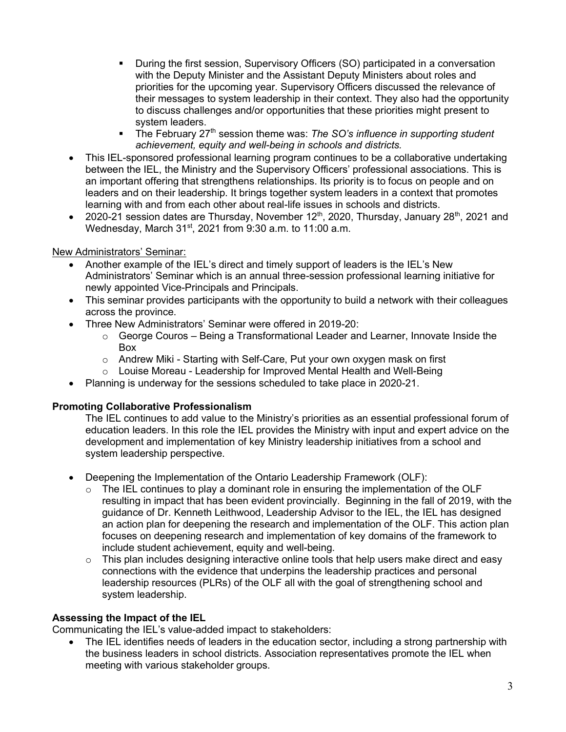- § During the first session, Supervisory Officers (SO) participated in a conversation with the Deputy Minister and the Assistant Deputy Ministers about roles and priorities for the upcoming year. Supervisory Officers discussed the relevance of their messages to system leadership in their context. They also had the opportunity to discuss challenges and/or opportunities that these priorities might present to system leaders.
- § The February 27th session theme was: *The SO's influence in supporting student achievement, equity and well-being in schools and districts.*
- This IEL-sponsored professional learning program continues to be a collaborative undertaking between the IEL, the Ministry and the Supervisory Officers' professional associations. This is an important offering that strengthens relationships. Its priority is to focus on people and on leaders and on their leadership. It brings together system leaders in a context that promotes learning with and from each other about real-life issues in schools and districts.
- 2020-21 session dates are Thursday, November  $12<sup>th</sup>$ , 2020, Thursday, January 28<sup>th</sup>, 2021 and Wednesday, March 31<sup>st</sup>, 2021 from 9:30 a.m. to 11:00 a.m.

# New Administrators' Seminar:

- Another example of the IEL's direct and timely support of leaders is the IEL's New Administrators' Seminar which is an annual three-session professional learning initiative for newly appointed Vice-Principals and Principals.
- This seminar provides participants with the opportunity to build a network with their colleagues across the province.
- Three New Administrators' Seminar were offered in 2019-20:
	- $\circ$  George Couros Being a Transformational Leader and Learner, Innovate Inside the Box
	- o Andrew Miki Starting with Self-Care, Put your own oxygen mask on first
	- o Louise Moreau Leadership for Improved Mental Health and Well-Being
- Planning is underway for the sessions scheduled to take place in 2020-21.

# **Promoting Collaborative Professionalism**

The IEL continues to add value to the Ministry's priorities as an essential professional forum of education leaders. In this role the IEL provides the Ministry with input and expert advice on the development and implementation of key Ministry leadership initiatives from a school and system leadership perspective.

- Deepening the Implementation of the Ontario Leadership Framework (OLF):
	- $\circ$  The IEL continues to play a dominant role in ensuring the implementation of the OLF resulting in impact that has been evident provincially. Beginning in the fall of 2019, with the guidance of Dr. Kenneth Leithwood, Leadership Advisor to the IEL, the IEL has designed an action plan for deepening the research and implementation of the OLF. This action plan focuses on deepening research and implementation of key domains of the framework to include student achievement, equity and well-being.
	- o This plan includes designing interactive online tools that help users make direct and easy connections with the evidence that underpins the leadership practices and personal leadership resources (PLRs) of the OLF all with the goal of strengthening school and system leadership.

#### **Assessing the Impact of the IEL**

Communicating the IEL's value-added impact to stakeholders:

• The IEL identifies needs of leaders in the education sector, including a strong partnership with the business leaders in school districts. Association representatives promote the IEL when meeting with various stakeholder groups.